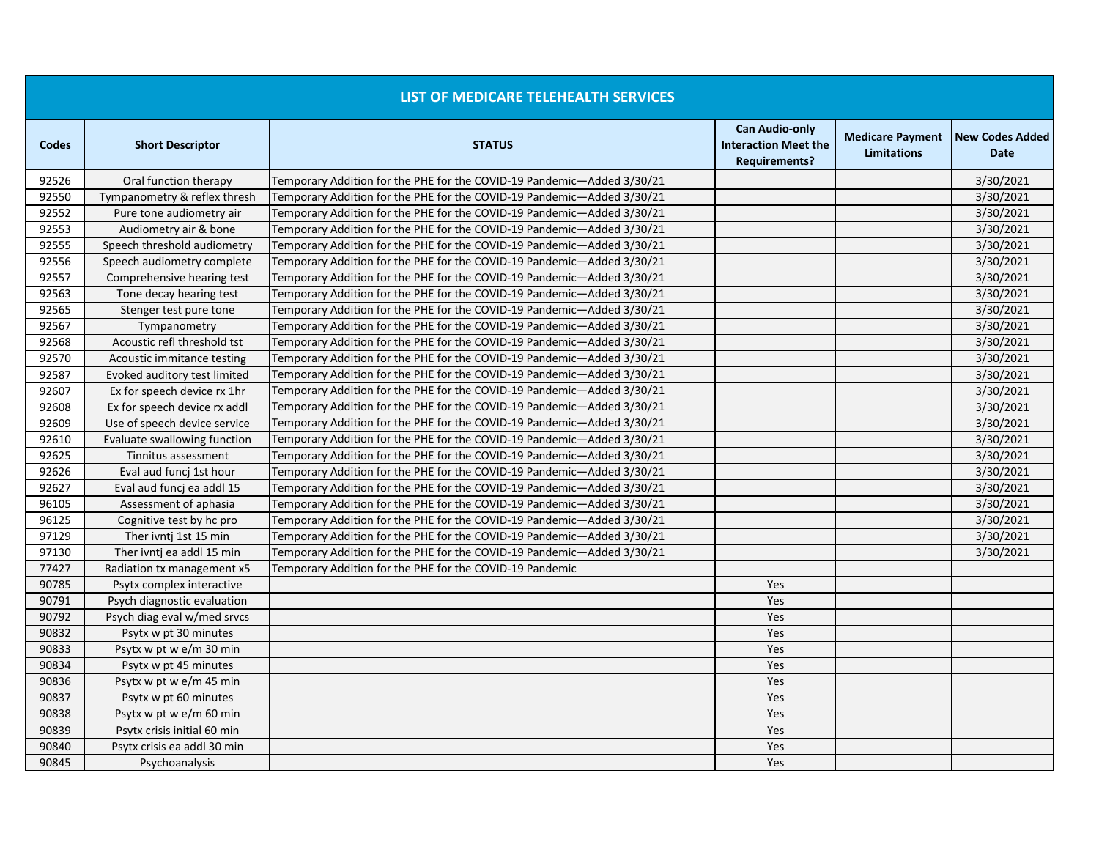|              |                              | LIST OF MEDICARE TELEHEALTH SERVICES                                   |                                                                              |                                               |                                       |
|--------------|------------------------------|------------------------------------------------------------------------|------------------------------------------------------------------------------|-----------------------------------------------|---------------------------------------|
| <b>Codes</b> | <b>Short Descriptor</b>      | <b>STATUS</b>                                                          | <b>Can Audio-only</b><br><b>Interaction Meet the</b><br><b>Requirements?</b> | <b>Medicare Payment</b><br><b>Limitations</b> | <b>New Codes Added</b><br><b>Date</b> |
| 92526        | Oral function therapy        | Temporary Addition for the PHE for the COVID-19 Pandemic-Added 3/30/21 |                                                                              |                                               | 3/30/2021                             |
| 92550        | Tympanometry & reflex thresh | Temporary Addition for the PHE for the COVID-19 Pandemic—Added 3/30/21 |                                                                              |                                               | 3/30/2021                             |
| 92552        | Pure tone audiometry air     | Temporary Addition for the PHE for the COVID-19 Pandemic-Added 3/30/21 |                                                                              |                                               | 3/30/2021                             |
| 92553        | Audiometry air & bone        | Temporary Addition for the PHE for the COVID-19 Pandemic-Added 3/30/21 |                                                                              |                                               | 3/30/2021                             |
| 92555        | Speech threshold audiometry  | Temporary Addition for the PHE for the COVID-19 Pandemic-Added 3/30/21 |                                                                              |                                               | 3/30/2021                             |
| 92556        | Speech audiometry complete   | Temporary Addition for the PHE for the COVID-19 Pandemic-Added 3/30/21 |                                                                              |                                               | 3/30/2021                             |
| 92557        | Comprehensive hearing test   | Temporary Addition for the PHE for the COVID-19 Pandemic—Added 3/30/21 |                                                                              |                                               | 3/30/2021                             |
| 92563        | Tone decay hearing test      | Temporary Addition for the PHE for the COVID-19 Pandemic—Added 3/30/21 |                                                                              |                                               | 3/30/2021                             |
| 92565        | Stenger test pure tone       | Temporary Addition for the PHE for the COVID-19 Pandemic-Added 3/30/21 |                                                                              |                                               | 3/30/2021                             |
| 92567        | Tympanometry                 | Temporary Addition for the PHE for the COVID-19 Pandemic—Added 3/30/21 |                                                                              |                                               | 3/30/2021                             |
| 92568        | Acoustic refl threshold tst  | Temporary Addition for the PHE for the COVID-19 Pandemic-Added 3/30/21 |                                                                              |                                               | 3/30/2021                             |
| 92570        | Acoustic immitance testing   | Temporary Addition for the PHE for the COVID-19 Pandemic-Added 3/30/21 |                                                                              |                                               | 3/30/2021                             |
| 92587        | Evoked auditory test limited | Temporary Addition for the PHE for the COVID-19 Pandemic-Added 3/30/21 |                                                                              |                                               | 3/30/2021                             |
| 92607        | Ex for speech device rx 1hr  | Temporary Addition for the PHE for the COVID-19 Pandemic-Added 3/30/21 |                                                                              |                                               | 3/30/2021                             |
| 92608        | Ex for speech device rx addl | Temporary Addition for the PHE for the COVID-19 Pandemic-Added 3/30/21 |                                                                              |                                               | 3/30/2021                             |
| 92609        | Use of speech device service | Temporary Addition for the PHE for the COVID-19 Pandemic-Added 3/30/21 |                                                                              |                                               | 3/30/2021                             |
| 92610        | Evaluate swallowing function | Temporary Addition for the PHE for the COVID-19 Pandemic-Added 3/30/21 |                                                                              |                                               | 3/30/2021                             |
| 92625        | Tinnitus assessment          | Temporary Addition for the PHE for the COVID-19 Pandemic-Added 3/30/21 |                                                                              |                                               | 3/30/2021                             |
| 92626        | Eval aud funcj 1st hour      | Temporary Addition for the PHE for the COVID-19 Pandemic-Added 3/30/21 |                                                                              |                                               | 3/30/2021                             |
| 92627        | Eval aud funcj ea addl 15    | Temporary Addition for the PHE for the COVID-19 Pandemic-Added 3/30/21 |                                                                              |                                               | 3/30/2021                             |
| 96105        | Assessment of aphasia        | Temporary Addition for the PHE for the COVID-19 Pandemic—Added 3/30/21 |                                                                              |                                               | 3/30/2021                             |
| 96125        | Cognitive test by hc pro     | Temporary Addition for the PHE for the COVID-19 Pandemic-Added 3/30/21 |                                                                              |                                               | 3/30/2021                             |
| 97129        | Ther ivnti 1st 15 min        | Temporary Addition for the PHE for the COVID-19 Pandemic-Added 3/30/21 |                                                                              |                                               | 3/30/2021                             |
| 97130        | Ther ivnti ea addl 15 min    | Temporary Addition for the PHE for the COVID-19 Pandemic-Added 3/30/21 |                                                                              |                                               | 3/30/2021                             |
| 77427        | Radiation tx management x5   | Temporary Addition for the PHE for the COVID-19 Pandemic               |                                                                              |                                               |                                       |
| 90785        | Psytx complex interactive    |                                                                        | Yes                                                                          |                                               |                                       |
| 90791        | Psych diagnostic evaluation  |                                                                        | Yes                                                                          |                                               |                                       |
| 90792        | Psych diag eval w/med srvcs  |                                                                        | Yes                                                                          |                                               |                                       |
| 90832        | Psytx w pt 30 minutes        |                                                                        | Yes                                                                          |                                               |                                       |
| 90833        | Psytx w pt w e/m 30 min      |                                                                        | Yes                                                                          |                                               |                                       |
| 90834        | Psytx w pt 45 minutes        |                                                                        | Yes                                                                          |                                               |                                       |
| 90836        | Psytx w pt w e/m 45 min      |                                                                        | Yes                                                                          |                                               |                                       |
| 90837        | Psytx w pt 60 minutes        |                                                                        | Yes                                                                          |                                               |                                       |
| 90838        | Psytx w pt w e/m 60 min      |                                                                        | Yes                                                                          |                                               |                                       |
| 90839        | Psytx crisis initial 60 min  |                                                                        | Yes                                                                          |                                               |                                       |
| 90840        | Psytx crisis ea addl 30 min  |                                                                        | Yes                                                                          |                                               |                                       |
| 90845        | Psychoanalysis               |                                                                        | Yes                                                                          |                                               |                                       |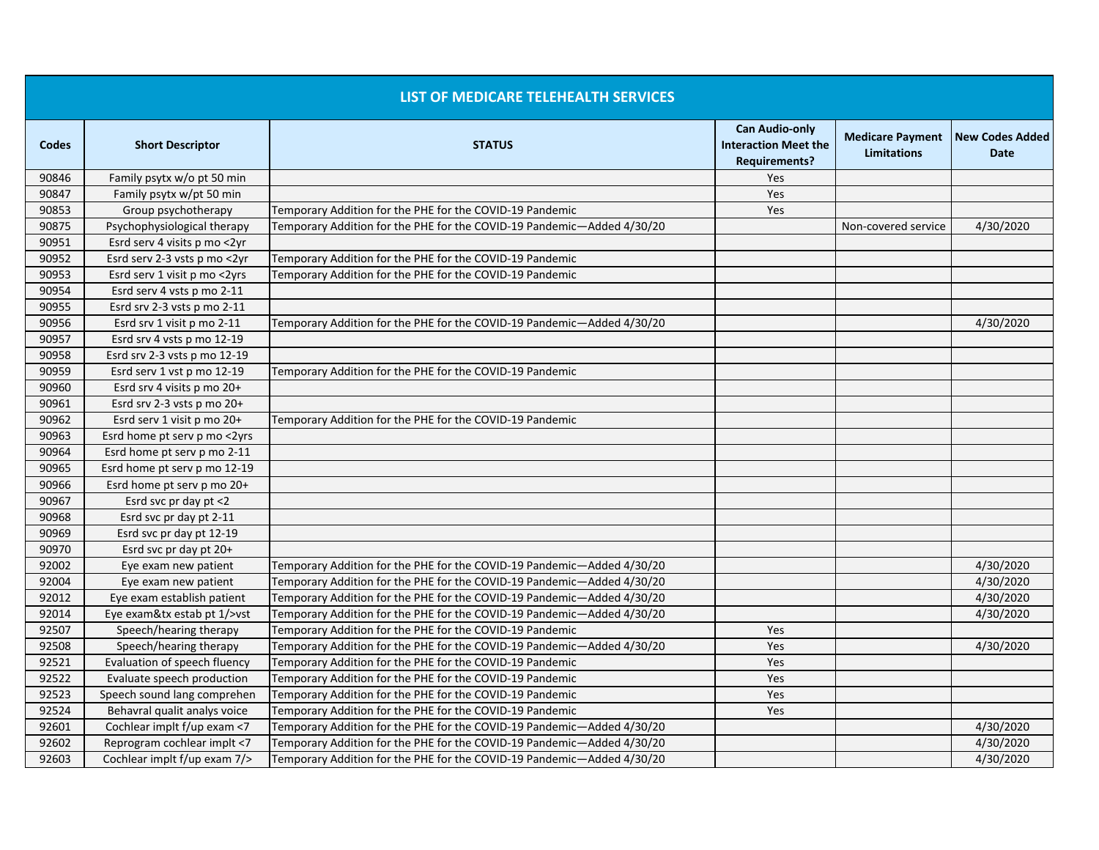| <b>LIST OF MEDICARE TELEHEALTH SERVICES</b> |                              |                                                                        |                                                                              |                                               |                                       |
|---------------------------------------------|------------------------------|------------------------------------------------------------------------|------------------------------------------------------------------------------|-----------------------------------------------|---------------------------------------|
| <b>Codes</b>                                | <b>Short Descriptor</b>      | <b>STATUS</b>                                                          | <b>Can Audio-only</b><br><b>Interaction Meet the</b><br><b>Requirements?</b> | <b>Medicare Payment</b><br><b>Limitations</b> | <b>New Codes Added</b><br><b>Date</b> |
| 90846                                       | Family psytx w/o pt 50 min   |                                                                        | Yes                                                                          |                                               |                                       |
| 90847                                       | Family psytx w/pt 50 min     |                                                                        | Yes                                                                          |                                               |                                       |
| 90853                                       | Group psychotherapy          | Temporary Addition for the PHE for the COVID-19 Pandemic               | Yes                                                                          |                                               |                                       |
| 90875                                       | Psychophysiological therapy  | Temporary Addition for the PHE for the COVID-19 Pandemic—Added 4/30/20 |                                                                              | Non-covered service                           | 4/30/2020                             |
| 90951                                       | Esrd serv 4 visits p mo <2yr |                                                                        |                                                                              |                                               |                                       |
| 90952                                       | Esrd serv 2-3 vsts p mo <2yr | Temporary Addition for the PHE for the COVID-19 Pandemic               |                                                                              |                                               |                                       |
| 90953                                       | Esrd serv 1 visit p mo <2yrs | Temporary Addition for the PHE for the COVID-19 Pandemic               |                                                                              |                                               |                                       |
| 90954                                       | Esrd serv 4 vsts p mo 2-11   |                                                                        |                                                                              |                                               |                                       |
| 90955                                       | Esrd srv 2-3 vsts p mo 2-11  |                                                                        |                                                                              |                                               |                                       |
| 90956                                       | Esrd srv 1 visit p mo 2-11   | Temporary Addition for the PHE for the COVID-19 Pandemic—Added 4/30/20 |                                                                              |                                               | 4/30/2020                             |
| 90957                                       | Esrd srv 4 vsts p mo 12-19   |                                                                        |                                                                              |                                               |                                       |
| 90958                                       | Esrd srv 2-3 vsts p mo 12-19 |                                                                        |                                                                              |                                               |                                       |
| 90959                                       | Esrd serv 1 vst p mo 12-19   | Temporary Addition for the PHE for the COVID-19 Pandemic               |                                                                              |                                               |                                       |
| 90960                                       | Esrd srv 4 visits p mo 20+   |                                                                        |                                                                              |                                               |                                       |
| 90961                                       | Esrd srv 2-3 vsts p mo 20+   |                                                                        |                                                                              |                                               |                                       |
| 90962                                       | Esrd serv 1 visit p mo 20+   | Temporary Addition for the PHE for the COVID-19 Pandemic               |                                                                              |                                               |                                       |
| 90963                                       | Esrd home pt serv p mo <2yrs |                                                                        |                                                                              |                                               |                                       |
| 90964                                       | Esrd home pt serv p mo 2-11  |                                                                        |                                                                              |                                               |                                       |
| 90965                                       | Esrd home pt serv p mo 12-19 |                                                                        |                                                                              |                                               |                                       |
| 90966                                       | Esrd home pt serv p mo 20+   |                                                                        |                                                                              |                                               |                                       |
| 90967                                       | Esrd svc pr day pt <2        |                                                                        |                                                                              |                                               |                                       |
| 90968                                       | Esrd svc pr day pt 2-11      |                                                                        |                                                                              |                                               |                                       |
| 90969                                       | Esrd svc pr day pt 12-19     |                                                                        |                                                                              |                                               |                                       |
| 90970                                       | Esrd svc pr day pt 20+       |                                                                        |                                                                              |                                               |                                       |
| 92002                                       | Eye exam new patient         | Temporary Addition for the PHE for the COVID-19 Pandemic—Added 4/30/20 |                                                                              |                                               | 4/30/2020                             |
| 92004                                       | Eye exam new patient         | Temporary Addition for the PHE for the COVID-19 Pandemic—Added 4/30/20 |                                                                              |                                               | 4/30/2020                             |
| 92012                                       | Eye exam establish patient   | Temporary Addition for the PHE for the COVID-19 Pandemic-Added 4/30/20 |                                                                              |                                               | 4/30/2020                             |
| 92014                                       | Eye exam&tx estab pt 1/>vst  | Temporary Addition for the PHE for the COVID-19 Pandemic—Added 4/30/20 |                                                                              |                                               | 4/30/2020                             |
| 92507                                       | Speech/hearing therapy       | Temporary Addition for the PHE for the COVID-19 Pandemic               | Yes                                                                          |                                               |                                       |
| 92508                                       | Speech/hearing therapy       | Temporary Addition for the PHE for the COVID-19 Pandemic—Added 4/30/20 | Yes                                                                          |                                               | 4/30/2020                             |
| 92521                                       | Evaluation of speech fluency | Temporary Addition for the PHE for the COVID-19 Pandemic               | Yes                                                                          |                                               |                                       |
| 92522                                       | Evaluate speech production   | Temporary Addition for the PHE for the COVID-19 Pandemic               | Yes                                                                          |                                               |                                       |
| 92523                                       | Speech sound lang comprehen  | Temporary Addition for the PHE for the COVID-19 Pandemic               | Yes                                                                          |                                               |                                       |
| 92524                                       | Behavral qualit analys voice | Temporary Addition for the PHE for the COVID-19 Pandemic               | Yes                                                                          |                                               |                                       |
| 92601                                       | Cochlear implt f/up exam <7  | Temporary Addition for the PHE for the COVID-19 Pandemic-Added 4/30/20 |                                                                              |                                               | 4/30/2020                             |
| 92602                                       | Reprogram cochlear implt <7  | Temporary Addition for the PHE for the COVID-19 Pandemic-Added 4/30/20 |                                                                              |                                               | 4/30/2020                             |
| 92603                                       | Cochlear implt f/up exam 7/> | Temporary Addition for the PHE for the COVID-19 Pandemic—Added 4/30/20 |                                                                              |                                               | 4/30/2020                             |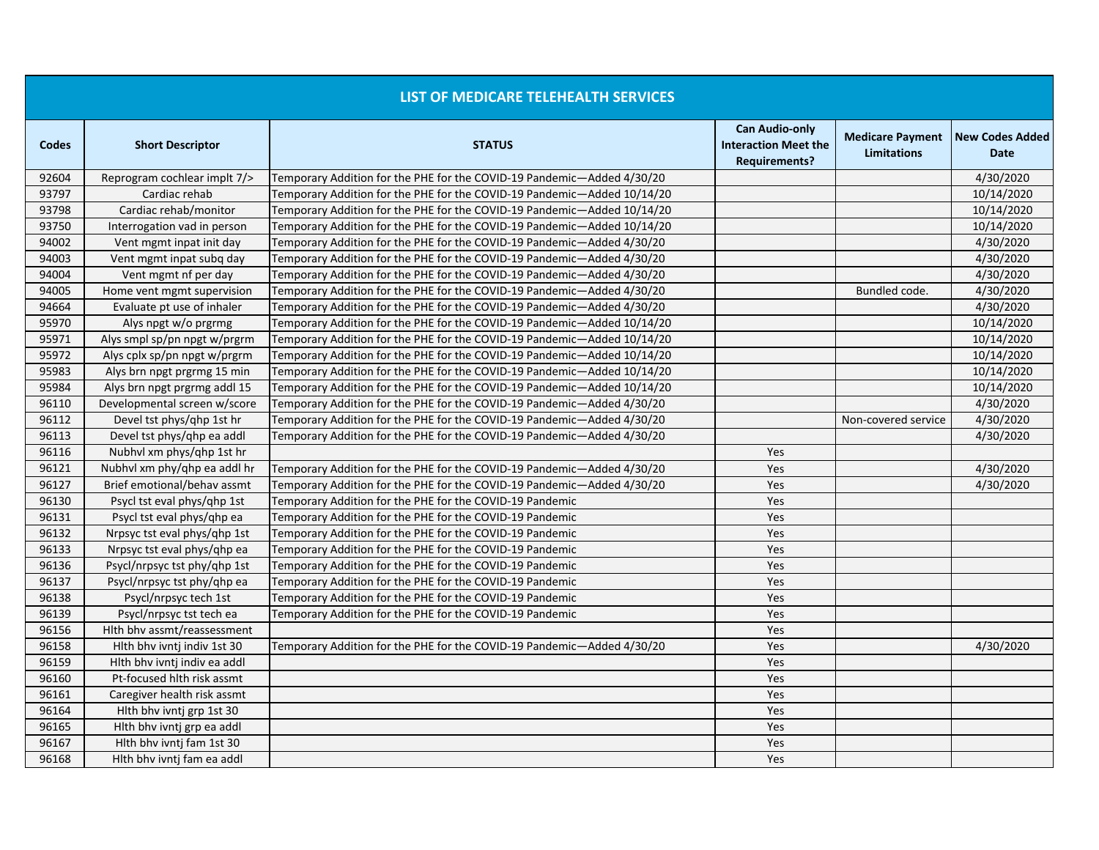|       |                              | LIST OF MEDICARE TELEHEALTH SERVICES                                    |                                                                              |                                               |                                       |
|-------|------------------------------|-------------------------------------------------------------------------|------------------------------------------------------------------------------|-----------------------------------------------|---------------------------------------|
| Codes | <b>Short Descriptor</b>      | <b>STATUS</b>                                                           | <b>Can Audio-only</b><br><b>Interaction Meet the</b><br><b>Requirements?</b> | <b>Medicare Payment</b><br><b>Limitations</b> | <b>New Codes Added</b><br><b>Date</b> |
| 92604 | Reprogram cochlear implt 7/> | Temporary Addition for the PHE for the COVID-19 Pandemic-Added 4/30/20  |                                                                              |                                               | 4/30/2020                             |
| 93797 | Cardiac rehab                | Temporary Addition for the PHE for the COVID-19 Pandemic-Added 10/14/20 |                                                                              |                                               | 10/14/2020                            |
| 93798 | Cardiac rehab/monitor        | Temporary Addition for the PHE for the COVID-19 Pandemic-Added 10/14/20 |                                                                              |                                               | 10/14/2020                            |
| 93750 | Interrogation vad in person  | Temporary Addition for the PHE for the COVID-19 Pandemic-Added 10/14/20 |                                                                              |                                               | 10/14/2020                            |
| 94002 | Vent mgmt inpat init day     | Temporary Addition for the PHE for the COVID-19 Pandemic—Added 4/30/20  |                                                                              |                                               | 4/30/2020                             |
| 94003 | Vent mgmt inpat subg day     | Temporary Addition for the PHE for the COVID-19 Pandemic-Added 4/30/20  |                                                                              |                                               | 4/30/2020                             |
| 94004 | Vent mgmt nf per day         | Temporary Addition for the PHE for the COVID-19 Pandemic-Added 4/30/20  |                                                                              |                                               | 4/30/2020                             |
| 94005 | Home vent mgmt supervision   | Temporary Addition for the PHE for the COVID-19 Pandemic-Added 4/30/20  |                                                                              | Bundled code.                                 | 4/30/2020                             |
| 94664 | Evaluate pt use of inhaler   | Temporary Addition for the PHE for the COVID-19 Pandemic—Added 4/30/20  |                                                                              |                                               | 4/30/2020                             |
| 95970 | Alys npgt w/o prgrmg         | Temporary Addition for the PHE for the COVID-19 Pandemic-Added 10/14/20 |                                                                              |                                               | 10/14/2020                            |
| 95971 | Alys smpl sp/pn npgt w/prgrm | Temporary Addition for the PHE for the COVID-19 Pandemic-Added 10/14/20 |                                                                              |                                               | 10/14/2020                            |
| 95972 | Alys cplx sp/pn npgt w/prgrm | Temporary Addition for the PHE for the COVID-19 Pandemic-Added 10/14/20 |                                                                              |                                               | 10/14/2020                            |
| 95983 | Alys brn npgt prgrmg 15 min  | Temporary Addition for the PHE for the COVID-19 Pandemic-Added 10/14/20 |                                                                              |                                               | 10/14/2020                            |
| 95984 | Alys brn npgt prgrmg addl 15 | Temporary Addition for the PHE for the COVID-19 Pandemic-Added 10/14/20 |                                                                              |                                               | 10/14/2020                            |
| 96110 | Developmental screen w/score | Temporary Addition for the PHE for the COVID-19 Pandemic-Added 4/30/20  |                                                                              |                                               | 4/30/2020                             |
| 96112 | Devel tst phys/ghp 1st hr    | Temporary Addition for the PHE for the COVID-19 Pandemic-Added 4/30/20  |                                                                              | Non-covered service                           | 4/30/2020                             |
| 96113 | Devel tst phys/ghp ea addl   | Temporary Addition for the PHE for the COVID-19 Pandemic—Added 4/30/20  |                                                                              |                                               | 4/30/2020                             |
| 96116 | Nubhyl xm phys/qhp 1st hr    |                                                                         | Yes                                                                          |                                               |                                       |
| 96121 | Nubhvl xm phy/qhp ea addl hr | Temporary Addition for the PHE for the COVID-19 Pandemic-Added 4/30/20  | Yes                                                                          |                                               | 4/30/2020                             |
| 96127 | Brief emotional/behav assmt  | Temporary Addition for the PHE for the COVID-19 Pandemic-Added 4/30/20  | Yes                                                                          |                                               | 4/30/2020                             |
| 96130 | Psycl tst eval phys/qhp 1st  | Temporary Addition for the PHE for the COVID-19 Pandemic                | Yes                                                                          |                                               |                                       |
| 96131 | Psycl tst eval phys/ghp ea   | Temporary Addition for the PHE for the COVID-19 Pandemic                | Yes                                                                          |                                               |                                       |
| 96132 | Nrpsyc tst eval phys/ghp 1st | Temporary Addition for the PHE for the COVID-19 Pandemic                | Yes                                                                          |                                               |                                       |
| 96133 | Nrpsyc tst eval phys/ghp ea  | Temporary Addition for the PHE for the COVID-19 Pandemic                | Yes                                                                          |                                               |                                       |
| 96136 | Psycl/nrpsyc tst phy/ghp 1st | Temporary Addition for the PHE for the COVID-19 Pandemic                | Yes                                                                          |                                               |                                       |
| 96137 | Psycl/nrpsyc tst phy/qhp ea  | Temporary Addition for the PHE for the COVID-19 Pandemic                | Yes                                                                          |                                               |                                       |
| 96138 | Psycl/nrpsyc tech 1st        | Temporary Addition for the PHE for the COVID-19 Pandemic                | Yes                                                                          |                                               |                                       |
| 96139 | Psycl/nrpsyc tst tech ea     | Temporary Addition for the PHE for the COVID-19 Pandemic                | Yes                                                                          |                                               |                                       |
| 96156 | Hith bhv assmt/reassessment  |                                                                         | Yes                                                                          |                                               |                                       |
| 96158 | Hith bhy ivnti indiv 1st 30  | Temporary Addition for the PHE for the COVID-19 Pandemic—Added 4/30/20  | Yes                                                                          |                                               | 4/30/2020                             |
| 96159 | Hlth bhv ivntj indiv ea addl |                                                                         | Yes                                                                          |                                               |                                       |
| 96160 | Pt-focused hith risk assmt   |                                                                         | Yes                                                                          |                                               |                                       |
| 96161 | Caregiver health risk assmt  |                                                                         | Yes                                                                          |                                               |                                       |
| 96164 | Hith bhy ivnti grp 1st 30    |                                                                         | Yes                                                                          |                                               |                                       |
| 96165 | Hlth bhv ivntj grp ea addl   |                                                                         | Yes                                                                          |                                               |                                       |
| 96167 | Hith bhy ivnti fam 1st 30    |                                                                         | Yes                                                                          |                                               |                                       |
| 96168 | Hith bhy ivnti fam ea addl   |                                                                         | Yes                                                                          |                                               |                                       |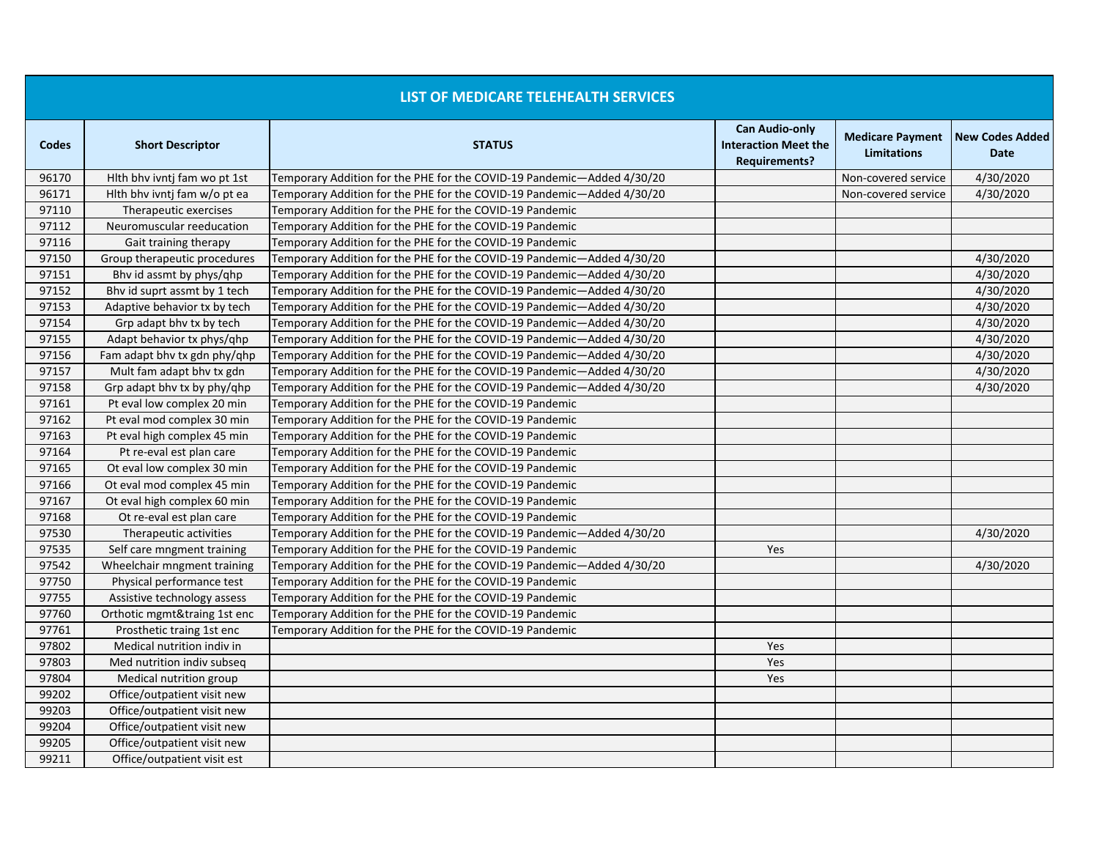|              |                              | LIST OF MEDICARE TELEHEALTH SERVICES                                   |                                                                              |                                               |                                |
|--------------|------------------------------|------------------------------------------------------------------------|------------------------------------------------------------------------------|-----------------------------------------------|--------------------------------|
| <b>Codes</b> | <b>Short Descriptor</b>      | <b>STATUS</b>                                                          | <b>Can Audio-only</b><br><b>Interaction Meet the</b><br><b>Requirements?</b> | <b>Medicare Payment</b><br><b>Limitations</b> | <b>New Codes Added</b><br>Date |
| 96170        | Hith bhy ivnti fam wo pt 1st | Temporary Addition for the PHE for the COVID-19 Pandemic—Added 4/30/20 |                                                                              | Non-covered service                           | 4/30/2020                      |
| 96171        | Hith bhy ivnti fam w/o pt ea | Temporary Addition for the PHE for the COVID-19 Pandemic-Added 4/30/20 |                                                                              | Non-covered service                           | 4/30/2020                      |
| 97110        | Therapeutic exercises        | Temporary Addition for the PHE for the COVID-19 Pandemic               |                                                                              |                                               |                                |
| 97112        | Neuromuscular reeducation    | Temporary Addition for the PHE for the COVID-19 Pandemic               |                                                                              |                                               |                                |
| 97116        | Gait training therapy        | Temporary Addition for the PHE for the COVID-19 Pandemic               |                                                                              |                                               |                                |
| 97150        | Group therapeutic procedures | Temporary Addition for the PHE for the COVID-19 Pandemic-Added 4/30/20 |                                                                              |                                               | 4/30/2020                      |
| 97151        | Bhv id assmt by phys/qhp     | Temporary Addition for the PHE for the COVID-19 Pandemic-Added 4/30/20 |                                                                              |                                               | 4/30/2020                      |
| 97152        | Bhy id suprt assmt by 1 tech | Temporary Addition for the PHE for the COVID-19 Pandemic-Added 4/30/20 |                                                                              |                                               | 4/30/2020                      |
| 97153        | Adaptive behavior tx by tech | Temporary Addition for the PHE for the COVID-19 Pandemic—Added 4/30/20 |                                                                              |                                               | 4/30/2020                      |
| 97154        | Grp adapt bhy tx by tech     | Temporary Addition for the PHE for the COVID-19 Pandemic-Added 4/30/20 |                                                                              |                                               | 4/30/2020                      |
| 97155        | Adapt behavior tx phys/ghp   | Temporary Addition for the PHE for the COVID-19 Pandemic-Added 4/30/20 |                                                                              |                                               | 4/30/2020                      |
| 97156        | Fam adapt bhy tx gdn phy/qhp | Temporary Addition for the PHE for the COVID-19 Pandemic-Added 4/30/20 |                                                                              |                                               | 4/30/2020                      |
| 97157        | Mult fam adapt bhy tx gdn    | Temporary Addition for the PHE for the COVID-19 Pandemic-Added 4/30/20 |                                                                              |                                               | 4/30/2020                      |
| 97158        | Grp adapt bhy tx by phy/ghp  | Temporary Addition for the PHE for the COVID-19 Pandemic-Added 4/30/20 |                                                                              |                                               | 4/30/2020                      |
| 97161        | Pt eval low complex 20 min   | Temporary Addition for the PHE for the COVID-19 Pandemic               |                                                                              |                                               |                                |
| 97162        | Pt eval mod complex 30 min   | Temporary Addition for the PHE for the COVID-19 Pandemic               |                                                                              |                                               |                                |
| 97163        | Pt eval high complex 45 min  | Temporary Addition for the PHE for the COVID-19 Pandemic               |                                                                              |                                               |                                |
| 97164        | Pt re-eval est plan care     | Temporary Addition for the PHE for the COVID-19 Pandemic               |                                                                              |                                               |                                |
| 97165        | Ot eval low complex 30 min   | Temporary Addition for the PHE for the COVID-19 Pandemic               |                                                                              |                                               |                                |
| 97166        | Ot eval mod complex 45 min   | Temporary Addition for the PHE for the COVID-19 Pandemic               |                                                                              |                                               |                                |
| 97167        | Ot eval high complex 60 min  | Temporary Addition for the PHE for the COVID-19 Pandemic               |                                                                              |                                               |                                |
| 97168        | Ot re-eval est plan care     | Temporary Addition for the PHE for the COVID-19 Pandemic               |                                                                              |                                               |                                |
| 97530        | Therapeutic activities       | Temporary Addition for the PHE for the COVID-19 Pandemic-Added 4/30/20 |                                                                              |                                               | 4/30/2020                      |
| 97535        | Self care mngment training   | Temporary Addition for the PHE for the COVID-19 Pandemic               | Yes                                                                          |                                               |                                |
| 97542        | Wheelchair mngment training  | Temporary Addition for the PHE for the COVID-19 Pandemic-Added 4/30/20 |                                                                              |                                               | 4/30/2020                      |
| 97750        | Physical performance test    | Temporary Addition for the PHE for the COVID-19 Pandemic               |                                                                              |                                               |                                |
| 97755        | Assistive technology assess  | Temporary Addition for the PHE for the COVID-19 Pandemic               |                                                                              |                                               |                                |
| 97760        | Orthotic mgmt&traing 1st enc | Temporary Addition for the PHE for the COVID-19 Pandemic               |                                                                              |                                               |                                |
| 97761        | Prosthetic traing 1st enc    | Temporary Addition for the PHE for the COVID-19 Pandemic               |                                                                              |                                               |                                |
| 97802        | Medical nutrition indiv in   |                                                                        | Yes                                                                          |                                               |                                |
| 97803        | Med nutrition indiv subseq   |                                                                        | Yes                                                                          |                                               |                                |
| 97804        | Medical nutrition group      |                                                                        | Yes                                                                          |                                               |                                |
| 99202        | Office/outpatient visit new  |                                                                        |                                                                              |                                               |                                |
| 99203        | Office/outpatient visit new  |                                                                        |                                                                              |                                               |                                |
| 99204        | Office/outpatient visit new  |                                                                        |                                                                              |                                               |                                |
| 99205        | Office/outpatient visit new  |                                                                        |                                                                              |                                               |                                |
| 99211        | Office/outpatient visit est  |                                                                        |                                                                              |                                               |                                |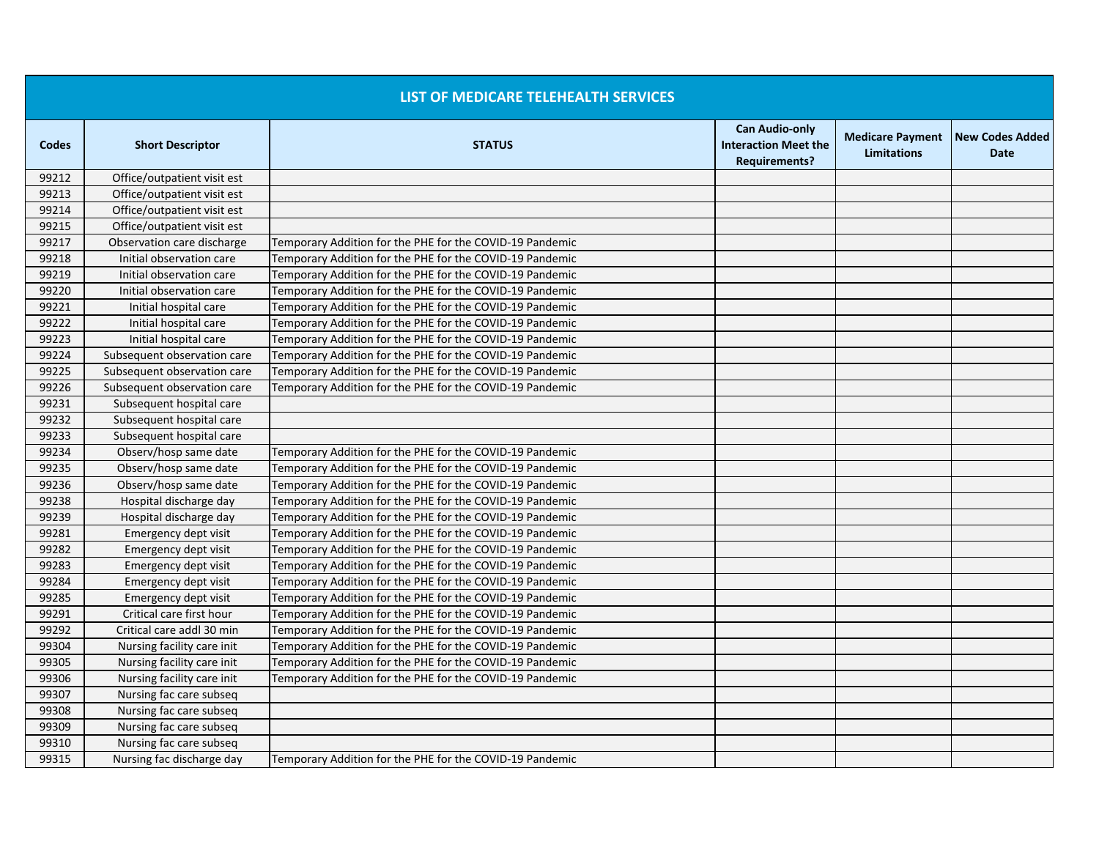|       |                             | LIST OF MEDICARE TELEHEALTH SERVICES                     |                                                                              |                                               |                                |
|-------|-----------------------------|----------------------------------------------------------|------------------------------------------------------------------------------|-----------------------------------------------|--------------------------------|
| Codes | <b>Short Descriptor</b>     | <b>STATUS</b>                                            | <b>Can Audio-only</b><br><b>Interaction Meet the</b><br><b>Requirements?</b> | <b>Medicare Payment</b><br><b>Limitations</b> | <b>New Codes Added</b><br>Date |
| 99212 | Office/outpatient visit est |                                                          |                                                                              |                                               |                                |
| 99213 | Office/outpatient visit est |                                                          |                                                                              |                                               |                                |
| 99214 | Office/outpatient visit est |                                                          |                                                                              |                                               |                                |
| 99215 | Office/outpatient visit est |                                                          |                                                                              |                                               |                                |
| 99217 | Observation care discharge  | Temporary Addition for the PHE for the COVID-19 Pandemic |                                                                              |                                               |                                |
| 99218 | Initial observation care    | Temporary Addition for the PHE for the COVID-19 Pandemic |                                                                              |                                               |                                |
| 99219 | Initial observation care    | Temporary Addition for the PHE for the COVID-19 Pandemic |                                                                              |                                               |                                |
| 99220 | Initial observation care    | Temporary Addition for the PHE for the COVID-19 Pandemic |                                                                              |                                               |                                |
| 99221 | Initial hospital care       | Temporary Addition for the PHE for the COVID-19 Pandemic |                                                                              |                                               |                                |
| 99222 | Initial hospital care       | Temporary Addition for the PHE for the COVID-19 Pandemic |                                                                              |                                               |                                |
| 99223 | Initial hospital care       | Temporary Addition for the PHE for the COVID-19 Pandemic |                                                                              |                                               |                                |
| 99224 | Subsequent observation care | Temporary Addition for the PHE for the COVID-19 Pandemic |                                                                              |                                               |                                |
| 99225 | Subsequent observation care | Temporary Addition for the PHE for the COVID-19 Pandemic |                                                                              |                                               |                                |
| 99226 | Subsequent observation care | Temporary Addition for the PHE for the COVID-19 Pandemic |                                                                              |                                               |                                |
| 99231 | Subsequent hospital care    |                                                          |                                                                              |                                               |                                |
| 99232 | Subsequent hospital care    |                                                          |                                                                              |                                               |                                |
| 99233 | Subsequent hospital care    |                                                          |                                                                              |                                               |                                |
| 99234 | Observ/hosp same date       | Temporary Addition for the PHE for the COVID-19 Pandemic |                                                                              |                                               |                                |
| 99235 | Observ/hosp same date       | Temporary Addition for the PHE for the COVID-19 Pandemic |                                                                              |                                               |                                |
| 99236 | Observ/hosp same date       | Temporary Addition for the PHE for the COVID-19 Pandemic |                                                                              |                                               |                                |
| 99238 | Hospital discharge day      | Temporary Addition for the PHE for the COVID-19 Pandemic |                                                                              |                                               |                                |
| 99239 | Hospital discharge day      | Temporary Addition for the PHE for the COVID-19 Pandemic |                                                                              |                                               |                                |
| 99281 | Emergency dept visit        | Temporary Addition for the PHE for the COVID-19 Pandemic |                                                                              |                                               |                                |
| 99282 | Emergency dept visit        | Temporary Addition for the PHE for the COVID-19 Pandemic |                                                                              |                                               |                                |
| 99283 | Emergency dept visit        | Temporary Addition for the PHE for the COVID-19 Pandemic |                                                                              |                                               |                                |
| 99284 | Emergency dept visit        | Temporary Addition for the PHE for the COVID-19 Pandemic |                                                                              |                                               |                                |
| 99285 | Emergency dept visit        | Temporary Addition for the PHE for the COVID-19 Pandemic |                                                                              |                                               |                                |
| 99291 | Critical care first hour    | Temporary Addition for the PHE for the COVID-19 Pandemic |                                                                              |                                               |                                |
| 99292 | Critical care addl 30 min   | Temporary Addition for the PHE for the COVID-19 Pandemic |                                                                              |                                               |                                |
| 99304 | Nursing facility care init  | Temporary Addition for the PHE for the COVID-19 Pandemic |                                                                              |                                               |                                |
| 99305 | Nursing facility care init  | Temporary Addition for the PHE for the COVID-19 Pandemic |                                                                              |                                               |                                |
| 99306 | Nursing facility care init  | Temporary Addition for the PHE for the COVID-19 Pandemic |                                                                              |                                               |                                |
| 99307 | Nursing fac care subseq     |                                                          |                                                                              |                                               |                                |
| 99308 | Nursing fac care subseq     |                                                          |                                                                              |                                               |                                |
| 99309 | Nursing fac care subseq     |                                                          |                                                                              |                                               |                                |
| 99310 | Nursing fac care subseg     |                                                          |                                                                              |                                               |                                |
| 99315 | Nursing fac discharge day   | Temporary Addition for the PHE for the COVID-19 Pandemic |                                                                              |                                               |                                |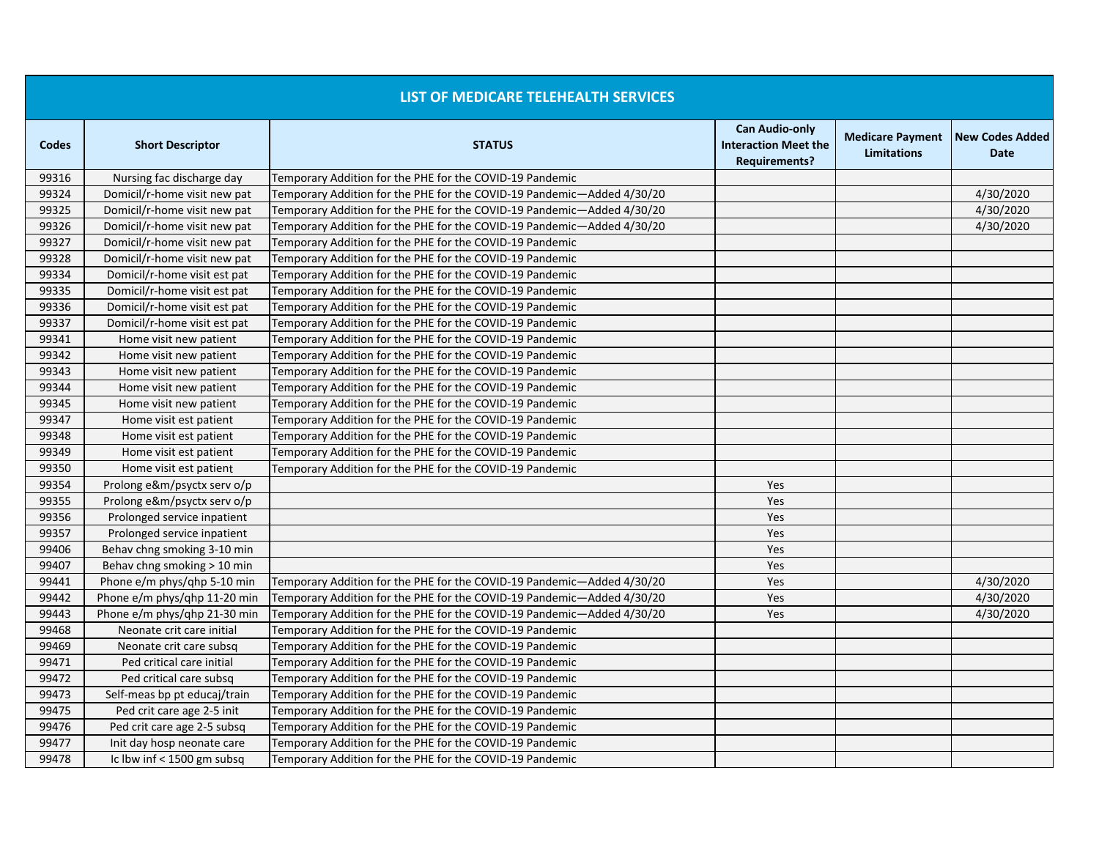|       |                              | LIST OF MEDICARE TELEHEALTH SERVICES                                   |                                                                              |                                               |                                       |
|-------|------------------------------|------------------------------------------------------------------------|------------------------------------------------------------------------------|-----------------------------------------------|---------------------------------------|
| Codes | <b>Short Descriptor</b>      | <b>STATUS</b>                                                          | <b>Can Audio-only</b><br><b>Interaction Meet the</b><br><b>Requirements?</b> | <b>Medicare Payment</b><br><b>Limitations</b> | <b>New Codes Added</b><br><b>Date</b> |
| 99316 | Nursing fac discharge day    | Temporary Addition for the PHE for the COVID-19 Pandemic               |                                                                              |                                               |                                       |
| 99324 | Domicil/r-home visit new pat | Temporary Addition for the PHE for the COVID-19 Pandemic-Added 4/30/20 |                                                                              |                                               | 4/30/2020                             |
| 99325 | Domicil/r-home visit new pat | Temporary Addition for the PHE for the COVID-19 Pandemic—Added 4/30/20 |                                                                              |                                               | 4/30/2020                             |
| 99326 | Domicil/r-home visit new pat | Temporary Addition for the PHE for the COVID-19 Pandemic-Added 4/30/20 |                                                                              |                                               | 4/30/2020                             |
| 99327 | Domicil/r-home visit new pat | Temporary Addition for the PHE for the COVID-19 Pandemic               |                                                                              |                                               |                                       |
| 99328 | Domicil/r-home visit new pat | Temporary Addition for the PHE for the COVID-19 Pandemic               |                                                                              |                                               |                                       |
| 99334 | Domicil/r-home visit est pat | Temporary Addition for the PHE for the COVID-19 Pandemic               |                                                                              |                                               |                                       |
| 99335 | Domicil/r-home visit est pat | Temporary Addition for the PHE for the COVID-19 Pandemic               |                                                                              |                                               |                                       |
| 99336 | Domicil/r-home visit est pat | Temporary Addition for the PHE for the COVID-19 Pandemic               |                                                                              |                                               |                                       |
| 99337 | Domicil/r-home visit est pat | Temporary Addition for the PHE for the COVID-19 Pandemic               |                                                                              |                                               |                                       |
| 99341 | Home visit new patient       | Temporary Addition for the PHE for the COVID-19 Pandemic               |                                                                              |                                               |                                       |
| 99342 | Home visit new patient       | Temporary Addition for the PHE for the COVID-19 Pandemic               |                                                                              |                                               |                                       |
| 99343 | Home visit new patient       | Temporary Addition for the PHE for the COVID-19 Pandemic               |                                                                              |                                               |                                       |
| 99344 | Home visit new patient       | Temporary Addition for the PHE for the COVID-19 Pandemic               |                                                                              |                                               |                                       |
| 99345 | Home visit new patient       | Temporary Addition for the PHE for the COVID-19 Pandemic               |                                                                              |                                               |                                       |
| 99347 | Home visit est patient       | Temporary Addition for the PHE for the COVID-19 Pandemic               |                                                                              |                                               |                                       |
| 99348 | Home visit est patient       | Temporary Addition for the PHE for the COVID-19 Pandemic               |                                                                              |                                               |                                       |
| 99349 | Home visit est patient       | Temporary Addition for the PHE for the COVID-19 Pandemic               |                                                                              |                                               |                                       |
| 99350 | Home visit est patient       | Temporary Addition for the PHE for the COVID-19 Pandemic               |                                                                              |                                               |                                       |
| 99354 | Prolong e&m/psyctx serv o/p  |                                                                        | Yes                                                                          |                                               |                                       |
| 99355 | Prolong e&m/psyctx serv o/p  |                                                                        | Yes                                                                          |                                               |                                       |
| 99356 | Prolonged service inpatient  |                                                                        | Yes                                                                          |                                               |                                       |
| 99357 | Prolonged service inpatient  |                                                                        | Yes                                                                          |                                               |                                       |
| 99406 | Behav chng smoking 3-10 min  |                                                                        | Yes                                                                          |                                               |                                       |
| 99407 | Behav chng smoking > 10 min  |                                                                        | Yes                                                                          |                                               |                                       |
| 99441 | Phone e/m phys/ghp 5-10 min  | Temporary Addition for the PHE for the COVID-19 Pandemic-Added 4/30/20 | Yes                                                                          |                                               | 4/30/2020                             |
| 99442 | Phone e/m phys/ghp 11-20 min | Temporary Addition for the PHE for the COVID-19 Pandemic-Added 4/30/20 | Yes                                                                          |                                               | 4/30/2020                             |
| 99443 | Phone e/m phys/ghp 21-30 min | Temporary Addition for the PHE for the COVID-19 Pandemic-Added 4/30/20 | Yes                                                                          |                                               | 4/30/2020                             |
| 99468 | Neonate crit care initial    | Temporary Addition for the PHE for the COVID-19 Pandemic               |                                                                              |                                               |                                       |
| 99469 | Neonate crit care subsq      | Temporary Addition for the PHE for the COVID-19 Pandemic               |                                                                              |                                               |                                       |
| 99471 | Ped critical care initial    | Temporary Addition for the PHE for the COVID-19 Pandemic               |                                                                              |                                               |                                       |
| 99472 | Ped critical care subsq      | Temporary Addition for the PHE for the COVID-19 Pandemic               |                                                                              |                                               |                                       |
| 99473 | Self-meas bp pt educaj/train | Temporary Addition for the PHE for the COVID-19 Pandemic               |                                                                              |                                               |                                       |
| 99475 | Ped crit care age 2-5 init   | Temporary Addition for the PHE for the COVID-19 Pandemic               |                                                                              |                                               |                                       |
| 99476 | Ped crit care age 2-5 subsq  | Temporary Addition for the PHE for the COVID-19 Pandemic               |                                                                              |                                               |                                       |
| 99477 | Init day hosp neonate care   | Temporary Addition for the PHE for the COVID-19 Pandemic               |                                                                              |                                               |                                       |
| 99478 | Ic lbw inf $<$ 1500 gm subsq | Temporary Addition for the PHE for the COVID-19 Pandemic               |                                                                              |                                               |                                       |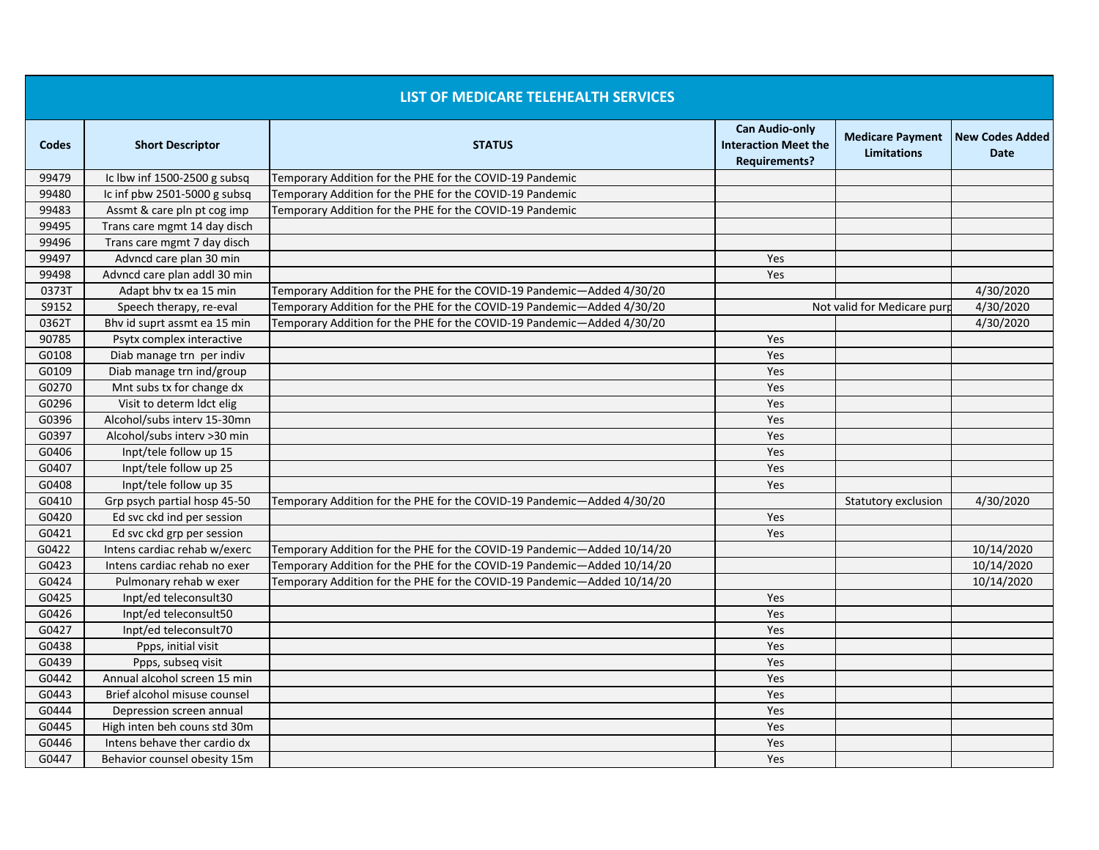|              |                              | LIST OF MEDICARE TELEHEALTH SERVICES                                    |                                                                              |                                               |                                       |
|--------------|------------------------------|-------------------------------------------------------------------------|------------------------------------------------------------------------------|-----------------------------------------------|---------------------------------------|
| <b>Codes</b> | <b>Short Descriptor</b>      | <b>STATUS</b>                                                           | <b>Can Audio-only</b><br><b>Interaction Meet the</b><br><b>Requirements?</b> | <b>Medicare Payment</b><br><b>Limitations</b> | <b>New Codes Added</b><br><b>Date</b> |
| 99479        | Ic lbw inf 1500-2500 g subsq | Temporary Addition for the PHE for the COVID-19 Pandemic                |                                                                              |                                               |                                       |
| 99480        | Ic inf pbw 2501-5000 g subsq | Temporary Addition for the PHE for the COVID-19 Pandemic                |                                                                              |                                               |                                       |
| 99483        | Assmt & care pln pt cog imp  | Temporary Addition for the PHE for the COVID-19 Pandemic                |                                                                              |                                               |                                       |
| 99495        | Trans care mgmt 14 day disch |                                                                         |                                                                              |                                               |                                       |
| 99496        | Trans care mgmt 7 day disch  |                                                                         |                                                                              |                                               |                                       |
| 99497        | Advncd care plan 30 min      |                                                                         | Yes                                                                          |                                               |                                       |
| 99498        | Advncd care plan addl 30 min |                                                                         | Yes                                                                          |                                               |                                       |
| 0373T        | Adapt bhy tx ea 15 min       | Temporary Addition for the PHE for the COVID-19 Pandemic—Added 4/30/20  |                                                                              |                                               | 4/30/2020                             |
| S9152        | Speech therapy, re-eval      | Temporary Addition for the PHE for the COVID-19 Pandemic-Added 4/30/20  |                                                                              | Not valid for Medicare purp                   | 4/30/2020                             |
| 0362T        | Bhy id suprt assmt ea 15 min | Temporary Addition for the PHE for the COVID-19 Pandemic-Added 4/30/20  |                                                                              |                                               | 4/30/2020                             |
| 90785        | Psytx complex interactive    |                                                                         | Yes                                                                          |                                               |                                       |
| G0108        | Diab manage trn per indiv    |                                                                         | Yes                                                                          |                                               |                                       |
| G0109        | Diab manage trn ind/group    |                                                                         | Yes                                                                          |                                               |                                       |
| G0270        | Mnt subs tx for change dx    |                                                                         | Yes                                                                          |                                               |                                       |
| G0296        | Visit to determ ldct elig    |                                                                         | Yes                                                                          |                                               |                                       |
| G0396        | Alcohol/subs interv 15-30mn  |                                                                         | Yes                                                                          |                                               |                                       |
| G0397        | Alcohol/subs interv >30 min  |                                                                         | Yes                                                                          |                                               |                                       |
| G0406        | Inpt/tele follow up 15       |                                                                         | Yes                                                                          |                                               |                                       |
| G0407        | Inpt/tele follow up 25       |                                                                         | Yes                                                                          |                                               |                                       |
| G0408        | Inpt/tele follow up 35       |                                                                         | Yes                                                                          |                                               |                                       |
| G0410        | Grp psych partial hosp 45-50 | Temporary Addition for the PHE for the COVID-19 Pandemic—Added 4/30/20  |                                                                              | Statutory exclusion                           | 4/30/2020                             |
| G0420        | Ed svc ckd ind per session   |                                                                         | Yes                                                                          |                                               |                                       |
| G0421        | Ed svc ckd grp per session   |                                                                         | Yes                                                                          |                                               |                                       |
| G0422        | Intens cardiac rehab w/exerc | Temporary Addition for the PHE for the COVID-19 Pandemic—Added 10/14/20 |                                                                              |                                               | 10/14/2020                            |
| G0423        | Intens cardiac rehab no exer | Temporary Addition for the PHE for the COVID-19 Pandemic-Added 10/14/20 |                                                                              |                                               | 10/14/2020                            |
| G0424        | Pulmonary rehab w exer       | Temporary Addition for the PHE for the COVID-19 Pandemic-Added 10/14/20 |                                                                              |                                               | 10/14/2020                            |
| G0425        | Inpt/ed teleconsult30        |                                                                         | Yes                                                                          |                                               |                                       |
| G0426        | Inpt/ed teleconsult50        |                                                                         | Yes                                                                          |                                               |                                       |
| G0427        | Inpt/ed teleconsult70        |                                                                         | Yes                                                                          |                                               |                                       |
| G0438        | Ppps, initial visit          |                                                                         | Yes                                                                          |                                               |                                       |
| G0439        | Ppps, subseq visit           |                                                                         | Yes                                                                          |                                               |                                       |
| G0442        | Annual alcohol screen 15 min |                                                                         | Yes                                                                          |                                               |                                       |
| G0443        | Brief alcohol misuse counsel |                                                                         | Yes                                                                          |                                               |                                       |
| G0444        | Depression screen annual     |                                                                         | Yes                                                                          |                                               |                                       |
| G0445        | High inten beh couns std 30m |                                                                         | Yes                                                                          |                                               |                                       |
| G0446        | Intens behave ther cardio dx |                                                                         | Yes                                                                          |                                               |                                       |
| G0447        | Behavior counsel obesity 15m |                                                                         | Yes                                                                          |                                               |                                       |